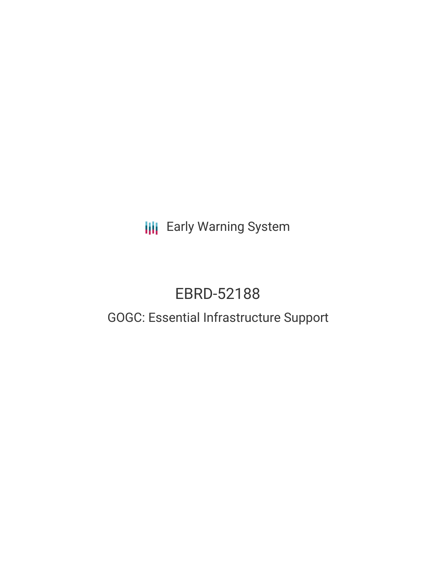**III** Early Warning System

# EBRD-52188

## GOGC: Essential Infrastructure Support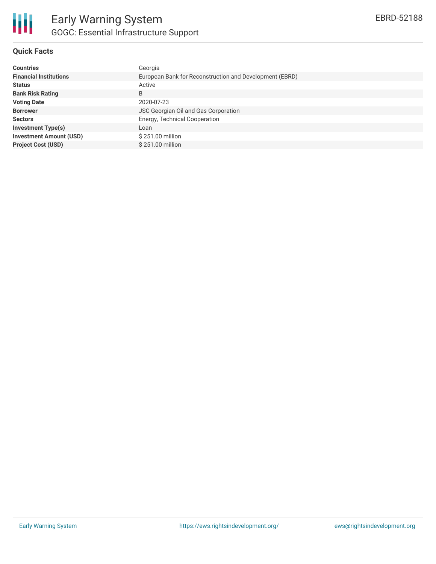

### **Quick Facts**

| <b>Countries</b>               | Georgia                                                 |
|--------------------------------|---------------------------------------------------------|
| <b>Financial Institutions</b>  | European Bank for Reconstruction and Development (EBRD) |
| <b>Status</b>                  | Active                                                  |
| <b>Bank Risk Rating</b>        | B                                                       |
| <b>Voting Date</b>             | 2020-07-23                                              |
| <b>Borrower</b>                | <b>JSC Georgian Oil and Gas Corporation</b>             |
| <b>Sectors</b>                 | Energy, Technical Cooperation                           |
| <b>Investment Type(s)</b>      | Loan                                                    |
| <b>Investment Amount (USD)</b> | \$251.00 million                                        |
| <b>Project Cost (USD)</b>      | $$251.00$ million                                       |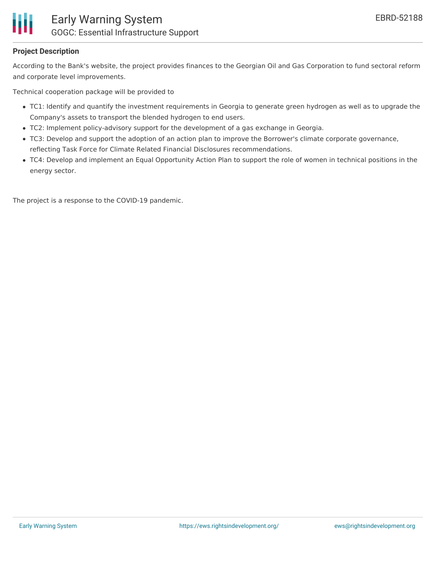

### **Project Description**

According to the Bank's website, the project provides finances to the Georgian Oil and Gas Corporation to fund sectoral reform and corporate level improvements.

Technical cooperation package will be provided to

- TC1: Identify and quantify the investment requirements in Georgia to generate green hydrogen as well as to upgrade the Company's assets to transport the blended hydrogen to end users.
- TC2: Implement policy-advisory support for the development of a gas exchange in Georgia.
- TC3: Develop and support the adoption of an action plan to improve the Borrower's climate corporate governance, reflecting Task Force for Climate Related Financial Disclosures recommendations.
- TC4: Develop and implement an Equal Opportunity Action Plan to support the role of women in technical positions in the energy sector.

The project is a response to the COVID-19 pandemic.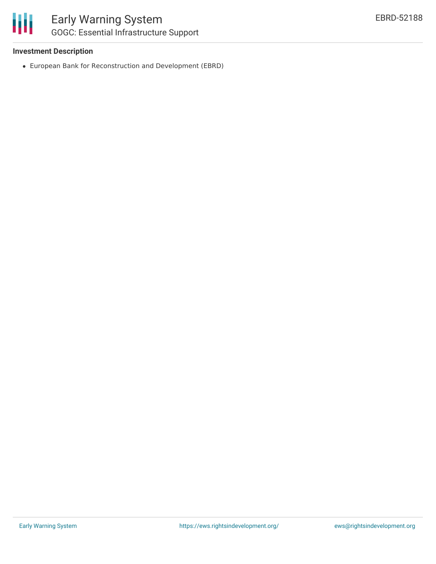### **Investment Description**

European Bank for Reconstruction and Development (EBRD)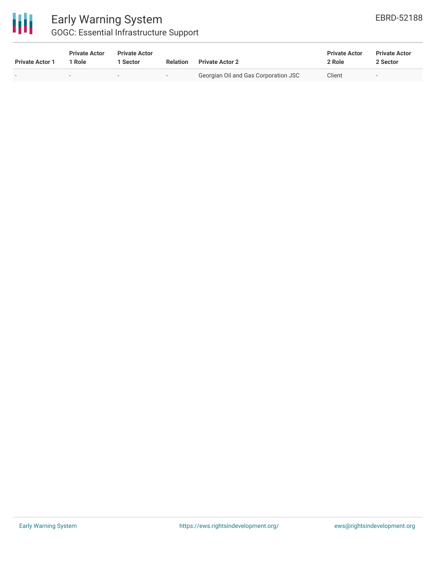

### Early Warning System GOGC: Essential Infrastructure Support

| <u>oooo. Loochtigi iiiiilaoti aotale oappolt</u> |                                |                                  |                          |                                      |                                |                                  |  |  |  |
|--------------------------------------------------|--------------------------------|----------------------------------|--------------------------|--------------------------------------|--------------------------------|----------------------------------|--|--|--|
| <b>Private Actor 1</b>                           | <b>Private Actor</b><br>1 Role | <b>Private Actor</b><br>1 Sector | Relation                 | <b>Private Actor 2</b>               | <b>Private Actor</b><br>2 Role | <b>Private Actor</b><br>2 Sector |  |  |  |
|                                                  | -                              | $\,$                             | $\overline{\phantom{0}}$ | Georgian Oil and Gas Corporation JSC | Client                         |                                  |  |  |  |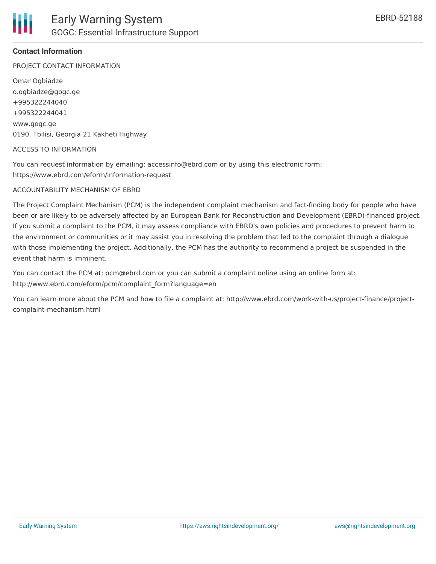

### **Contact Information**

PROJECT CONTACT INFORMATION

Omar Ogbiadze o.ogbiadze@gogc.ge +995322244040 +995322244041 www.gogc.ge 0190, Tbilisi, Georgia 21 Kakheti Highway

### ACCESS TO INFORMATION

You can request information by emailing: accessinfo@ebrd.com or by using this electronic form: https://www.ebrd.com/eform/information-request

#### ACCOUNTABILITY MECHANISM OF EBRD

The Project Complaint Mechanism (PCM) is the independent complaint mechanism and fact-finding body for people who have been or are likely to be adversely affected by an European Bank for Reconstruction and Development (EBRD)-financed project. If you submit a complaint to the PCM, it may assess compliance with EBRD's own policies and procedures to prevent harm to the environment or communities or it may assist you in resolving the problem that led to the complaint through a dialogue with those implementing the project. Additionally, the PCM has the authority to recommend a project be suspended in the event that harm is imminent.

You can contact the PCM at: pcm@ebrd.com or you can submit a complaint online using an online form at: http://www.ebrd.com/eform/pcm/complaint\_form?language=en

You can learn more about the PCM and how to file a complaint at: http://www.ebrd.com/work-with-us/project-finance/projectcomplaint-mechanism.html